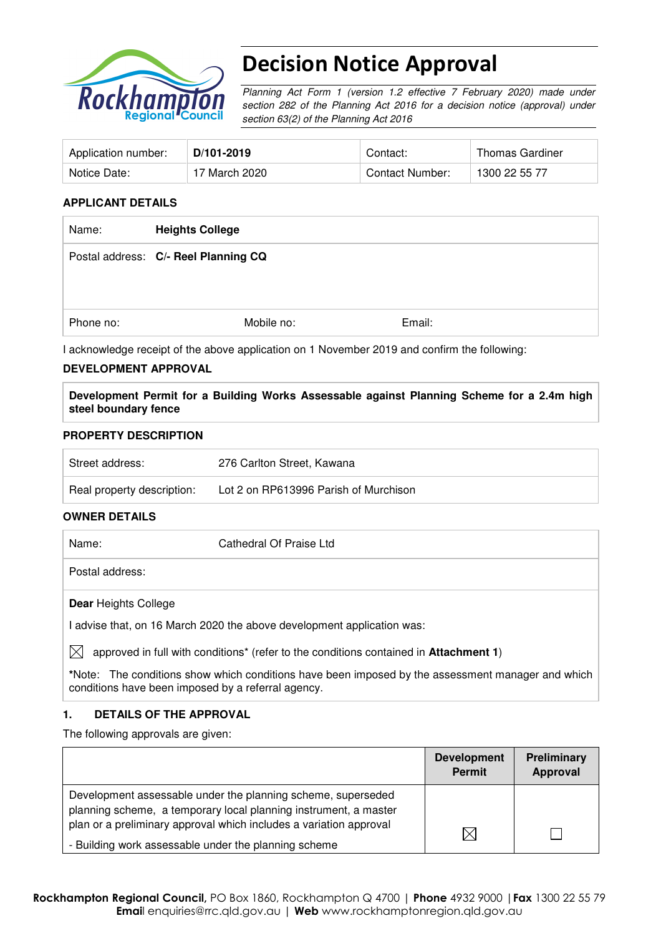

# Decision Notice Approval

Planning Act Form 1 (version 1.2 effective 7 February 2020) made under section 282 of the Planning Act 2016 for a decision notice (approval) under section 63(2) of the Planning Act 2016

| Application number: | D/101-2019    | Contact:        | Thomas Gardiner |
|---------------------|---------------|-----------------|-----------------|
| Notice Date:        | 17 March 2020 | Contact Number: | 1300 22 55 77   |

#### **APPLICANT DETAILS**

| Name:     | <b>Heights College</b>               |        |
|-----------|--------------------------------------|--------|
|           | Postal address: C/- Reel Planning CQ |        |
|           |                                      |        |
|           |                                      |        |
| Phone no: | Mobile no:                           | Email: |

I acknowledge receipt of the above application on 1 November 2019 and confirm the following:

#### **DEVELOPMENT APPROVAL**

**Development Permit for a Building Works Assessable against Planning Scheme for a 2.4m high steel boundary fence** 

#### **PROPERTY DESCRIPTION**

| Street address:            | 276 Carlton Street, Kawana            |
|----------------------------|---------------------------------------|
| Real property description: | Lot 2 on RP613996 Parish of Murchison |

#### **OWNER DETAILS**

| Name:                       | Cathedral Of Praise Ltd                                                                                   |
|-----------------------------|-----------------------------------------------------------------------------------------------------------|
| Postal address:             |                                                                                                           |
| <b>Dear Heights College</b> |                                                                                                           |
|                             | l advise that, on 16 March 2020 the above development application was:                                    |
| M                           | approved in full with conditions <sup>*</sup> (refer to the conditions contained in <b>Attachment 1</b> ) |

**\***Note:The conditions show which conditions have been imposed by the assessment manager and which conditions have been imposed by a referral agency.

#### **1. DETAILS OF THE APPROVAL**

The following approvals are given:

|                                                                                                                                                                                                        | <b>Development</b><br>Permit | Preliminary<br>Approval |
|--------------------------------------------------------------------------------------------------------------------------------------------------------------------------------------------------------|------------------------------|-------------------------|
| Development assessable under the planning scheme, superseded<br>planning scheme, a temporary local planning instrument, a master<br>plan or a preliminary approval which includes a variation approval |                              |                         |
| - Building work assessable under the planning scheme                                                                                                                                                   | $\boxtimes$                  |                         |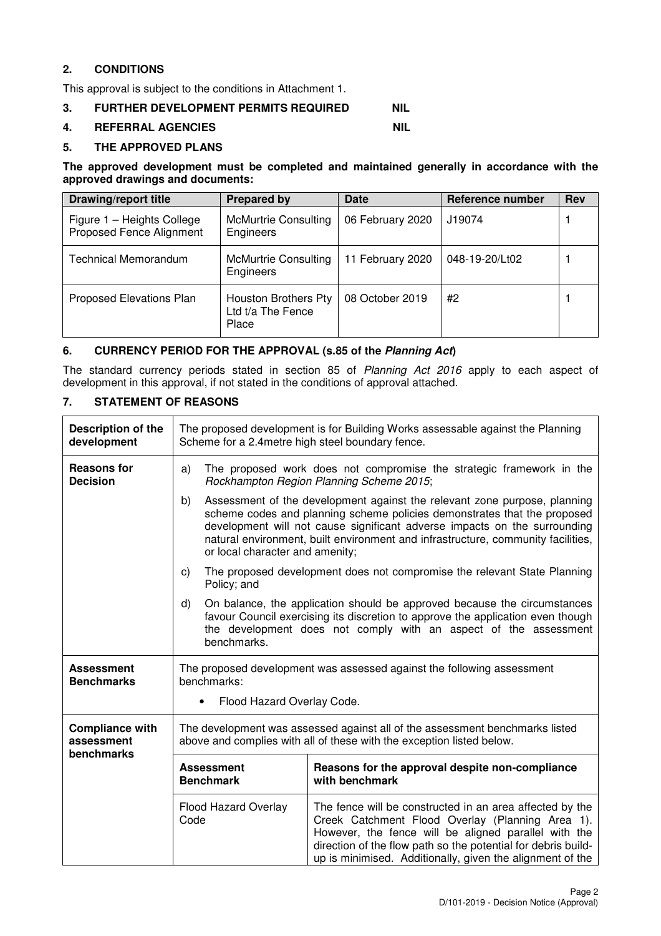## **2. CONDITIONS**

This approval is subject to the conditions in Attachment 1.

### **3. FURTHER DEVELOPMENT PERMITS REQUIRED NIL**

#### **4. REFERRAL AGENCIES NIL**

#### **5. THE APPROVED PLANS**

#### **The approved development must be completed and maintained generally in accordance with the approved drawings and documents:**

| <b>Drawing/report title</b>                                   | <b>Prepared by</b>                                 | Date             | Reference number | <b>Rev</b> |
|---------------------------------------------------------------|----------------------------------------------------|------------------|------------------|------------|
| Figure 1 - Heights College<br><b>Proposed Fence Alignment</b> | <b>McMurtrie Consulting</b><br>Engineers           | 06 February 2020 | J19074           |            |
| <b>Technical Memorandum</b>                                   | <b>McMurtrie Consulting</b><br>Engineers           | 11 February 2020 | 048-19-20/Lt02   |            |
| Proposed Elevations Plan                                      | Houston Brothers Pty<br>Ltd t/a The Fence<br>Place | 08 October 2019  | #2               |            |

#### **6. CURRENCY PERIOD FOR THE APPROVAL (s.85 of the Planning Act)**

The standard currency periods stated in section 85 of Planning Act 2016 apply to each aspect of development in this approval, if not stated in the conditions of approval attached.

#### **7. STATEMENT OF REASONS**

| Description of the<br>development      | The proposed development is for Building Works assessable against the Planning<br>Scheme for a 2.4 metre high steel boundary fence.                                                                                                                                                                                                |                                                                                                                                                                                                                                                                                                                                                           |  |  |
|----------------------------------------|------------------------------------------------------------------------------------------------------------------------------------------------------------------------------------------------------------------------------------------------------------------------------------------------------------------------------------|-----------------------------------------------------------------------------------------------------------------------------------------------------------------------------------------------------------------------------------------------------------------------------------------------------------------------------------------------------------|--|--|
| <b>Reasons for</b><br><b>Decision</b>  | The proposed work does not compromise the strategic framework in the<br>a)<br>Rockhampton Region Planning Scheme 2015;                                                                                                                                                                                                             |                                                                                                                                                                                                                                                                                                                                                           |  |  |
|                                        | b)                                                                                                                                                                                                                                                                                                                                 | Assessment of the development against the relevant zone purpose, planning<br>scheme codes and planning scheme policies demonstrates that the proposed<br>development will not cause significant adverse impacts on the surrounding<br>natural environment, built environment and infrastructure, community facilities,<br>or local character and amenity; |  |  |
|                                        | C)<br>Policy; and                                                                                                                                                                                                                                                                                                                  | The proposed development does not compromise the relevant State Planning                                                                                                                                                                                                                                                                                  |  |  |
|                                        | d)<br>benchmarks.                                                                                                                                                                                                                                                                                                                  | On balance, the application should be approved because the circumstances<br>favour Council exercising its discretion to approve the application even though<br>the development does not comply with an aspect of the assessment                                                                                                                           |  |  |
| <b>Assessment</b><br><b>Benchmarks</b> | The proposed development was assessed against the following assessment<br>benchmarks:<br>Flood Hazard Overlay Code.<br>$\bullet$                                                                                                                                                                                                   |                                                                                                                                                                                                                                                                                                                                                           |  |  |
| <b>Compliance with</b>                 | The development was assessed against all of the assessment benchmarks listed                                                                                                                                                                                                                                                       |                                                                                                                                                                                                                                                                                                                                                           |  |  |
| assessment<br>benchmarks               |                                                                                                                                                                                                                                                                                                                                    | above and complies with all of these with the exception listed below.                                                                                                                                                                                                                                                                                     |  |  |
|                                        | <b>Assessment</b><br>Reasons for the approval despite non-compliance<br>with benchmark<br><b>Benchmark</b>                                                                                                                                                                                                                         |                                                                                                                                                                                                                                                                                                                                                           |  |  |
|                                        | Flood Hazard Overlay<br>The fence will be constructed in an area affected by the<br>Creek Catchment Flood Overlay (Planning Area 1).<br>Code<br>However, the fence will be aligned parallel with the<br>direction of the flow path so the potential for debris build-<br>up is minimised. Additionally, given the alignment of the |                                                                                                                                                                                                                                                                                                                                                           |  |  |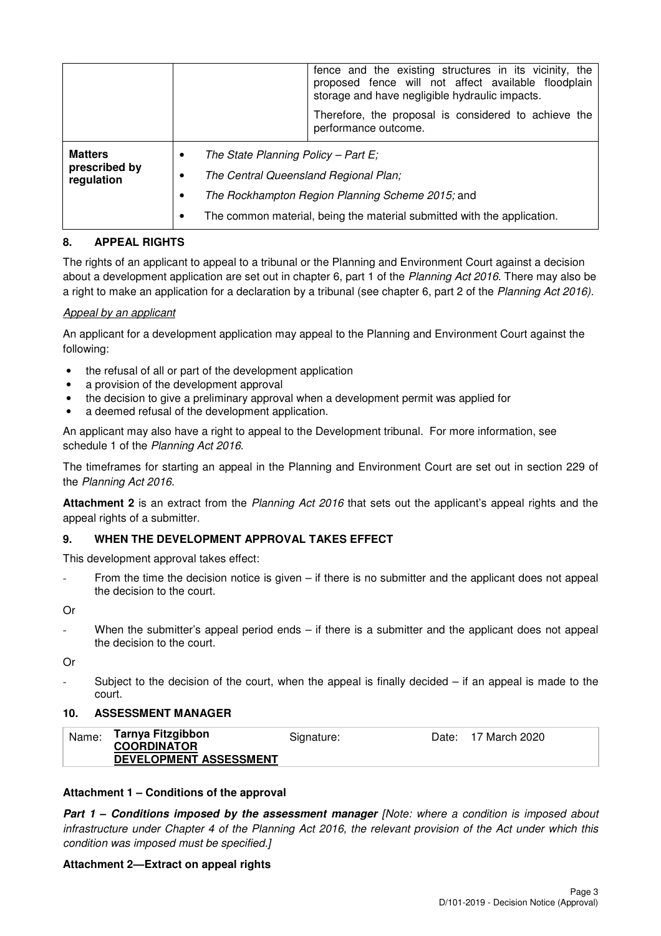|                             |   |                                                                         | fence and the existing structures in its vicinity, the<br>proposed fence will not affect available floodplain<br>storage and have negligible hydraulic impacts. |
|-----------------------------|---|-------------------------------------------------------------------------|-----------------------------------------------------------------------------------------------------------------------------------------------------------------|
|                             |   |                                                                         | Therefore, the proposal is considered to achieve the<br>performance outcome.                                                                                    |
| <b>Matters</b>              | ٠ | The State Planning Policy – Part E;                                     |                                                                                                                                                                 |
| prescribed by<br>regulation | ٠ | The Central Queensland Regional Plan;                                   |                                                                                                                                                                 |
|                             | ٠ | The Rockhampton Region Planning Scheme 2015; and                        |                                                                                                                                                                 |
|                             | ٠ | The common material, being the material submitted with the application. |                                                                                                                                                                 |

#### **8. APPEAL RIGHTS**

The rights of an applicant to appeal to a tribunal or the Planning and Environment Court against a decision about a development application are set out in chapter 6, part 1 of the Planning Act 2016. There may also be a right to make an application for a declaration by a tribunal (see chapter 6, part 2 of the Planning Act 2016).

#### Appeal by an applicant

An applicant for a development application may appeal to the Planning and Environment Court against the following:

- the refusal of all or part of the development application
- a provision of the development approval
- the decision to give a preliminary approval when a development permit was applied for
- a deemed refusal of the development application.

An applicant may also have a right to appeal to the Development tribunal. For more information, see schedule 1 of the Planning Act 2016.

The timeframes for starting an appeal in the Planning and Environment Court are set out in section 229 of the Planning Act 2016.

**Attachment 2** is an extract from the Planning Act 2016 that sets out the applicant's appeal rights and the appeal rights of a submitter.

#### **9. WHEN THE DEVELOPMENT APPROVAL TAKES EFFECT**

This development approval takes effect:

From the time the decision notice is given  $-$  if there is no submitter and the applicant does not appeal the decision to the court.

Or

When the submitter's appeal period ends  $-$  if there is a submitter and the applicant does not appeal the decision to the court.

Or

Subject to the decision of the court, when the appeal is finally decided  $-$  if an appeal is made to the court.

#### **10. ASSESSMENT MANAGER**

| Name: | Tarnya Fitzgibbon<br><b>COORDINATOR</b> | Signature: | Date: 17 March 2020 |
|-------|-----------------------------------------|------------|---------------------|
|       | DEVELOPMENT ASSESSMENT                  |            |                     |

#### **Attachment 1 – Conditions of the approval**

**Part 1 – Conditions imposed by the assessment manager** *[Note: where a condition is imposed about* infrastructure under Chapter 4 of the Planning Act 2016, the relevant provision of the Act under which this condition was imposed must be specified.]

#### **Attachment 2—Extract on appeal rights**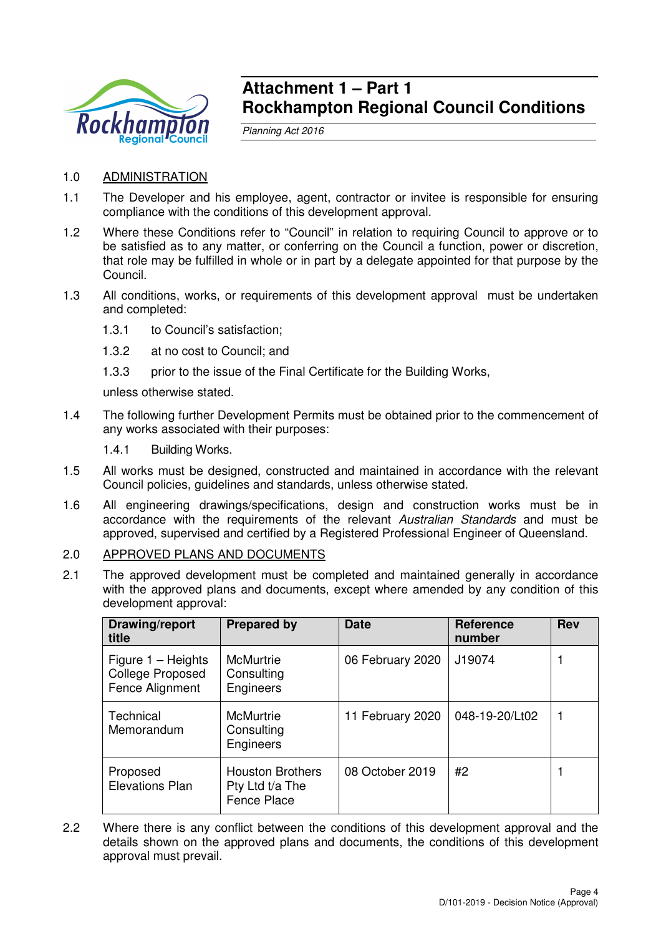

## **Attachment 1 – Part 1 Rockhampton Regional Council Conditions**

Planning Act 2016

- 1.0 ADMINISTRATION
- 1.1 The Developer and his employee, agent, contractor or invitee is responsible for ensuring compliance with the conditions of this development approval.
- 1.2 Where these Conditions refer to "Council" in relation to requiring Council to approve or to be satisfied as to any matter, or conferring on the Council a function, power or discretion, that role may be fulfilled in whole or in part by a delegate appointed for that purpose by the Council.
- 1.3 All conditions, works, or requirements of this development approval must be undertaken and completed:
	- 1.3.1 to Council's satisfaction;
	- 1.3.2 at no cost to Council; and
	- 1.3.3 prior to the issue of the Final Certificate for the Building Works,

unless otherwise stated.

- 1.4 The following further Development Permits must be obtained prior to the commencement of any works associated with their purposes:
	- 1.4.1 Building Works.
- 1.5 All works must be designed, constructed and maintained in accordance with the relevant Council policies, guidelines and standards, unless otherwise stated.
- 1.6 All engineering drawings/specifications, design and construction works must be in accordance with the requirements of the relevant Australian Standards and must be approved, supervised and certified by a Registered Professional Engineer of Queensland.
- 2.0 APPROVED PLANS AND DOCUMENTS
- 2.1 The approved development must be completed and maintained generally in accordance with the approved plans and documents, except where amended by any condition of this development approval:

| Drawing/report<br>title                                            | <b>Prepared by</b>                                               | <b>Date</b>      | <b>Reference</b><br>number | <b>Rev</b> |
|--------------------------------------------------------------------|------------------------------------------------------------------|------------------|----------------------------|------------|
| Figure $1 -$ Heights<br><b>College Proposed</b><br>Fence Alignment | McMurtrie<br>Consulting<br>Engineers                             | 06 February 2020 | J19074                     |            |
| Technical<br>Memorandum                                            | <b>McMurtrie</b><br>Consulting<br>Engineers                      | 11 February 2020 | 048-19-20/Lt02             |            |
| Proposed<br><b>Elevations Plan</b>                                 | <b>Houston Brothers</b><br>Pty Ltd t/a The<br><b>Fence Place</b> | 08 October 2019  | #2                         |            |

2.2 Where there is any conflict between the conditions of this development approval and the details shown on the approved plans and documents, the conditions of this development approval must prevail.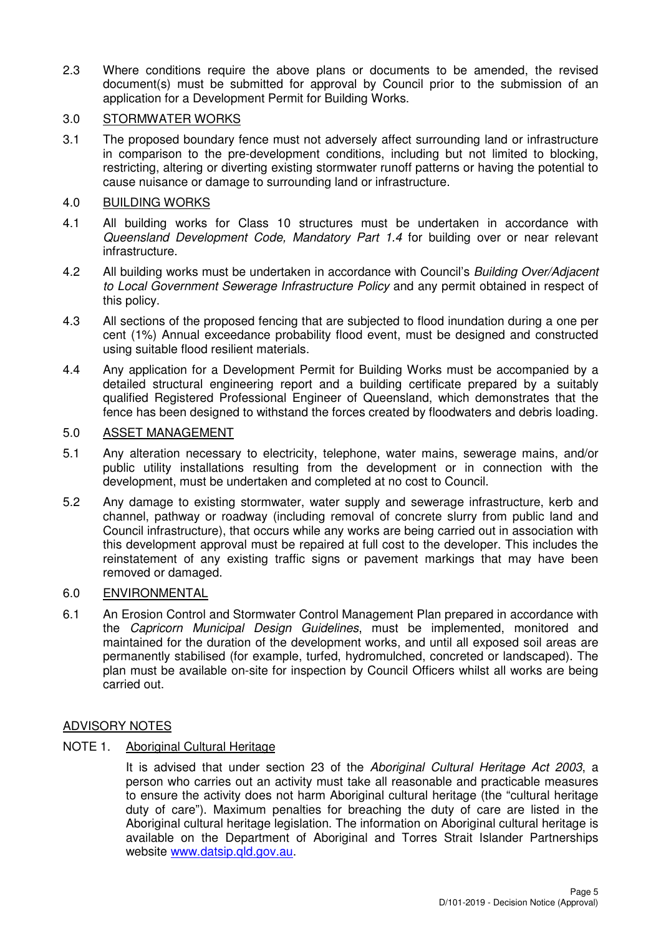2.3 Where conditions require the above plans or documents to be amended, the revised document(s) must be submitted for approval by Council prior to the submission of an application for a Development Permit for Building Works.

## 3.0 STORMWATER WORKS

3.1 The proposed boundary fence must not adversely affect surrounding land or infrastructure in comparison to the pre-development conditions, including but not limited to blocking, restricting, altering or diverting existing stormwater runoff patterns or having the potential to cause nuisance or damage to surrounding land or infrastructure.

#### 4.0 BUILDING WORKS

- 4.1 All building works for Class 10 structures must be undertaken in accordance with Queensland Development Code, Mandatory Part 1.4 for building over or near relevant infrastructure.
- 4.2 All building works must be undertaken in accordance with Council's Building Over/Adjacent to Local Government Sewerage Infrastructure Policy and any permit obtained in respect of this policy.
- 4.3 All sections of the proposed fencing that are subjected to flood inundation during a one per cent (1%) Annual exceedance probability flood event, must be designed and constructed using suitable flood resilient materials.
- 4.4 Any application for a Development Permit for Building Works must be accompanied by a detailed structural engineering report and a building certificate prepared by a suitably qualified Registered Professional Engineer of Queensland, which demonstrates that the fence has been designed to withstand the forces created by floodwaters and debris loading.

## 5.0 ASSET MANAGEMENT

- 5.1 Any alteration necessary to electricity, telephone, water mains, sewerage mains, and/or public utility installations resulting from the development or in connection with the development, must be undertaken and completed at no cost to Council.
- 5.2 Any damage to existing stormwater, water supply and sewerage infrastructure, kerb and channel, pathway or roadway (including removal of concrete slurry from public land and Council infrastructure), that occurs while any works are being carried out in association with this development approval must be repaired at full cost to the developer. This includes the reinstatement of any existing traffic signs or pavement markings that may have been removed or damaged.

#### 6.0 ENVIRONMENTAL

6.1 An Erosion Control and Stormwater Control Management Plan prepared in accordance with the Capricorn Municipal Design Guidelines, must be implemented, monitored and maintained for the duration of the development works, and until all exposed soil areas are permanently stabilised (for example, turfed, hydromulched, concreted or landscaped). The plan must be available on-site for inspection by Council Officers whilst all works are being carried out.

### ADVISORY NOTES

### NOTE 1. Aboriginal Cultural Heritage

It is advised that under section 23 of the Aboriginal Cultural Heritage Act 2003, a person who carries out an activity must take all reasonable and practicable measures to ensure the activity does not harm Aboriginal cultural heritage (the "cultural heritage duty of care"). Maximum penalties for breaching the duty of care are listed in the Aboriginal cultural heritage legislation. The information on Aboriginal cultural heritage is available on the Department of Aboriginal and Torres Strait Islander Partnerships website www.datsip.qld.gov.au.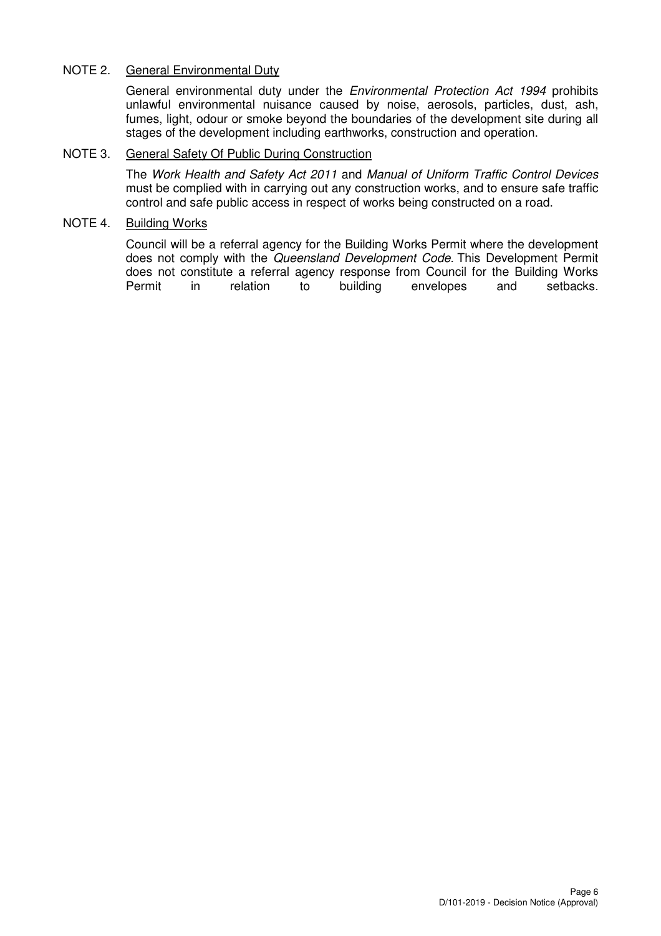## NOTE 2. General Environmental Duty

General environmental duty under the Environmental Protection Act 1994 prohibits unlawful environmental nuisance caused by noise, aerosols, particles, dust, ash, fumes, light, odour or smoke beyond the boundaries of the development site during all stages of the development including earthworks, construction and operation.

### NOTE 3. General Safety Of Public During Construction

The Work Health and Safety Act 2011 and Manual of Uniform Traffic Control Devices must be complied with in carrying out any construction works, and to ensure safe traffic control and safe public access in respect of works being constructed on a road.

#### NOTE 4. Building Works

Council will be a referral agency for the Building Works Permit where the development does not comply with the Queensland Development Code. This Development Permit does not constitute a referral agency response from Council for the Building Works Permit in relation to building envelopes and setbacks.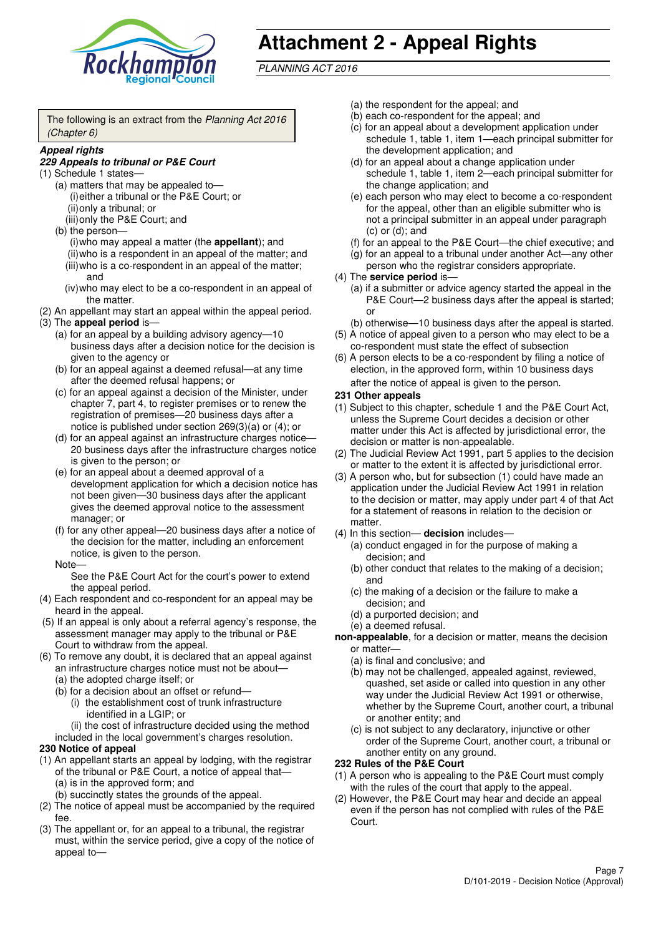

# **Attachment 2 - Appeal Rights**

PLANNING ACT 2016

The following is an extract from the Planning Act 2016 (Chapter 6)

#### **Appeal rights**

#### **229 Appeals to tribunal or P&E Court**

- (1) Schedule 1 states—
	- (a) matters that may be appealed to— (i) either a tribunal or the P&E Court; or (ii) only a tribunal; or
	- (iii) only the P&E Court; and (b) the person—
		- (i) who may appeal a matter (the **appellant**); and (ii) who is a respondent in an appeal of the matter; and (iii) who is a co-respondent in an appeal of the matter; and
		- (iv) who may elect to be a co-respondent in an appeal of the matter.
- (2) An appellant may start an appeal within the appeal period.
- (3) The **appeal period** is—
	- (a) for an appeal by a building advisory agency—10 business days after a decision notice for the decision is given to the agency or
	- (b) for an appeal against a deemed refusal—at any time after the deemed refusal happens; or
	- (c) for an appeal against a decision of the Minister, under chapter 7, part 4, to register premises or to renew the registration of premises—20 business days after a notice is published under section 269(3)(a) or (4); or
	- (d) for an appeal against an infrastructure charges notice— 20 business days after the infrastructure charges notice is given to the person; or
	- (e) for an appeal about a deemed approval of a development application for which a decision notice has not been given—30 business days after the applicant gives the deemed approval notice to the assessment manager; or
	- (f) for any other appeal—20 business days after a notice of the decision for the matter, including an enforcement notice, is given to the person.

#### Note—

See the P&E Court Act for the court's power to extend the appeal period.

- (4) Each respondent and co-respondent for an appeal may be heard in the appeal.
- (5) If an appeal is only about a referral agency's response, the assessment manager may apply to the tribunal or P&E Court to withdraw from the appeal.
- (6) To remove any doubt, it is declared that an appeal against an infrastructure charges notice must not be about—
	- (a) the adopted charge itself; or
	- (b) for a decision about an offset or refund—
		- (i) the establishment cost of trunk infrastructure identified in a LGIP; or
		- (ii) the cost of infrastructure decided using the method
	- included in the local government's charges resolution.

#### **230 Notice of appeal**

- (1) An appellant starts an appeal by lodging, with the registrar of the tribunal or P&E Court, a notice of appeal that—
	- (a) is in the approved form; and
	- (b) succinctly states the grounds of the appeal.
- (2) The notice of appeal must be accompanied by the required fee.
- (3) The appellant or, for an appeal to a tribunal, the registrar must, within the service period, give a copy of the notice of appeal to—
- (a) the respondent for the appeal; and
- (b) each co-respondent for the appeal; and
- (c) for an appeal about a development application under schedule 1, table 1, item 1—each principal submitter for the development application; and
- (d) for an appeal about a change application under schedule 1, table 1, item 2—each principal submitter for the change application; and
- (e) each person who may elect to become a co-respondent for the appeal, other than an eligible submitter who is not a principal submitter in an appeal under paragraph  $(c)$  or  $(d)$ ; and
- (f) for an appeal to the P&E Court—the chief executive; and
- (g) for an appeal to a tribunal under another Act—any other person who the registrar considers appropriate.
- (4) The **service period** is—
	- (a) if a submitter or advice agency started the appeal in the P&E Court-2 business days after the appeal is started; or
	- (b) otherwise—10 business days after the appeal is started.
- (5) A notice of appeal given to a person who may elect to be a co-respondent must state the effect of subsection
- (6) A person elects to be a co-respondent by filing a notice of election, in the approved form, within 10 business days after the notice of appeal is given to the person*.*
- **231 Other appeals**
- (1) Subject to this chapter, schedule 1 and the P&E Court Act, unless the Supreme Court decides a decision or other matter under this Act is affected by jurisdictional error, the decision or matter is non-appealable.
- (2) The Judicial Review Act 1991, part 5 applies to the decision or matter to the extent it is affected by jurisdictional error.
- (3) A person who, but for subsection (1) could have made an application under the Judicial Review Act 1991 in relation to the decision or matter, may apply under part 4 of that Act for a statement of reasons in relation to the decision or matter.
- (4) In this section— **decision** includes—
	- (a) conduct engaged in for the purpose of making a decision; and
	- (b) other conduct that relates to the making of a decision; and
	- (c) the making of a decision or the failure to make a decision; and
	- (d) a purported decision; and
	- (e) a deemed refusal.

**non-appealable**, for a decision or matter, means the decision or matter—

- (a) is final and conclusive; and
- (b) may not be challenged, appealed against, reviewed, quashed, set aside or called into question in any other way under the Judicial Review Act 1991 or otherwise, whether by the Supreme Court, another court, a tribunal or another entity; and
- (c) is not subject to any declaratory, injunctive or other order of the Supreme Court, another court, a tribunal or another entity on any ground.

#### **232 Rules of the P&E Court**

- (1) A person who is appealing to the P&E Court must comply with the rules of the court that apply to the appeal.
- (2) However, the P&E Court may hear and decide an appeal even if the person has not complied with rules of the P&E Court.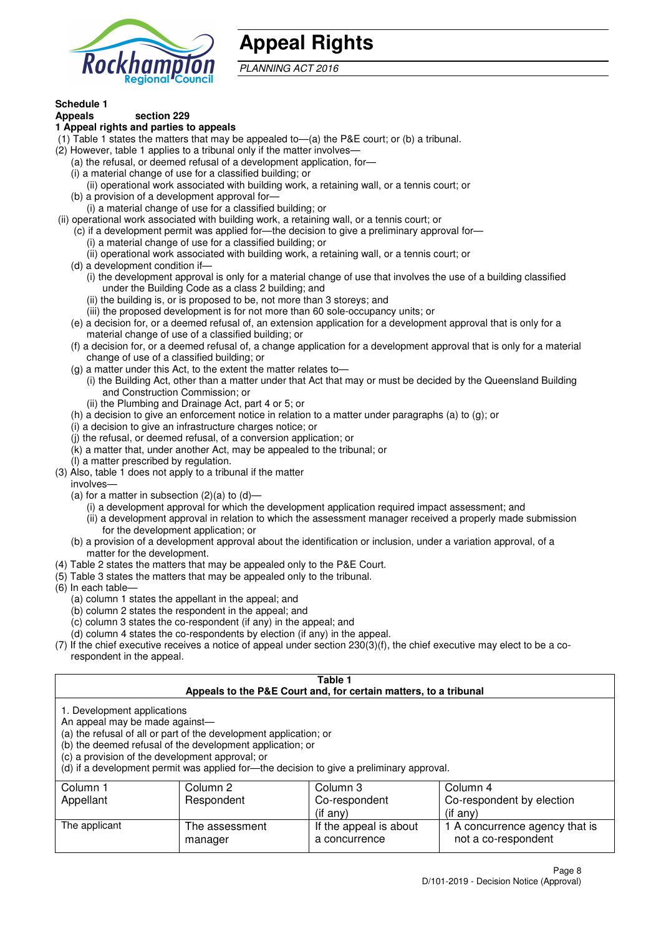

# **Appeal Rights**

PLANNING ACT 2016

# **Schedule 1**

#### **Appeals section 229 1 Appeal rights and parties to appeals**

- (1) Table 1 states the matters that may be appealed to—(a) the P&E court; or (b) a tribunal.
- (2) However, table 1 applies to a tribunal only if the matter involves—
	- (a) the refusal, or deemed refusal of a development application, for—
	- (i) a material change of use for a classified building; or
	- (ii) operational work associated with building work, a retaining wall, or a tennis court; or
	- (b) a provision of a development approval for—
	- (i) a material change of use for a classified building; or
- (ii) operational work associated with building work, a retaining wall, or a tennis court; or
	- (c) if a development permit was applied for—the decision to give a preliminary approval for— (i) a material change of use for a classified building; or
	- (ii) operational work associated with building work, a retaining wall, or a tennis court; or
	- (d) a development condition if—
		- (i) the development approval is only for a material change of use that involves the use of a building classified under the Building Code as a class 2 building; and
		- (ii) the building is, or is proposed to be, not more than 3 storeys; and
		- (iii) the proposed development is for not more than 60 sole-occupancy units; or
	- (e) a decision for, or a deemed refusal of, an extension application for a development approval that is only for a material change of use of a classified building; or
	- (f) a decision for, or a deemed refusal of, a change application for a development approval that is only for a material change of use of a classified building; or
	- (g) a matter under this Act, to the extent the matter relates to—
		- (i) the Building Act, other than a matter under that Act that may or must be decided by the Queensland Building and Construction Commission; or
		- (ii) the Plumbing and Drainage Act, part 4 or 5; or
	- (h) a decision to give an enforcement notice in relation to a matter under paragraphs (a) to (g); or
	- (i) a decision to give an infrastructure charges notice; or
	- (j) the refusal, or deemed refusal, of a conversion application; or
	- (k) a matter that, under another Act, may be appealed to the tribunal; or
	- (l) a matter prescribed by regulation.
- (3) Also, table 1 does not apply to a tribunal if the matter

involves—

- (a) for a matter in subsection  $(2)(a)$  to  $(d)$ 
	- (i) a development approval for which the development application required impact assessment; and
	- (ii) a development approval in relation to which the assessment manager received a properly made submission for the development application; or
- (b) a provision of a development approval about the identification or inclusion, under a variation approval, of a matter for the development.
- (4) Table 2 states the matters that may be appealed only to the P&E Court.
- (5) Table 3 states the matters that may be appealed only to the tribunal.
- (6) In each table—
	- (a) column 1 states the appellant in the appeal; and
	- (b) column 2 states the respondent in the appeal; and
	- (c) column 3 states the co-respondent (if any) in the appeal; and
	- (d) column 4 states the co-respondents by election (if any) in the appeal.
- (7) If the chief executive receives a notice of appeal under section 230(3)(f), the chief executive may elect to be a corespondent in the appeal.

| Table 1<br>Appeals to the P&E Court and, for certain matters, to a tribunal                                                                                                                                                                                                                                                                    |                            |                                         |                                                       |  |  |
|------------------------------------------------------------------------------------------------------------------------------------------------------------------------------------------------------------------------------------------------------------------------------------------------------------------------------------------------|----------------------------|-----------------------------------------|-------------------------------------------------------|--|--|
| 1. Development applications<br>An appeal may be made against-<br>(a) the refusal of all or part of the development application; or<br>(b) the deemed refusal of the development application; or<br>(c) a provision of the development approval; or<br>(d) if a development permit was applied for-the decision to give a preliminary approval. |                            |                                         |                                                       |  |  |
| Column 1                                                                                                                                                                                                                                                                                                                                       | Column 2                   | Column 3                                | Column 4                                              |  |  |
| Appellant                                                                                                                                                                                                                                                                                                                                      | Respondent                 | Co-respondent                           | Co-respondent by election                             |  |  |
|                                                                                                                                                                                                                                                                                                                                                | $($ if any $)$<br>(if any) |                                         |                                                       |  |  |
| The applicant                                                                                                                                                                                                                                                                                                                                  | The assessment<br>manager  | If the appeal is about<br>a concurrence | 1 A concurrence agency that is<br>not a co-respondent |  |  |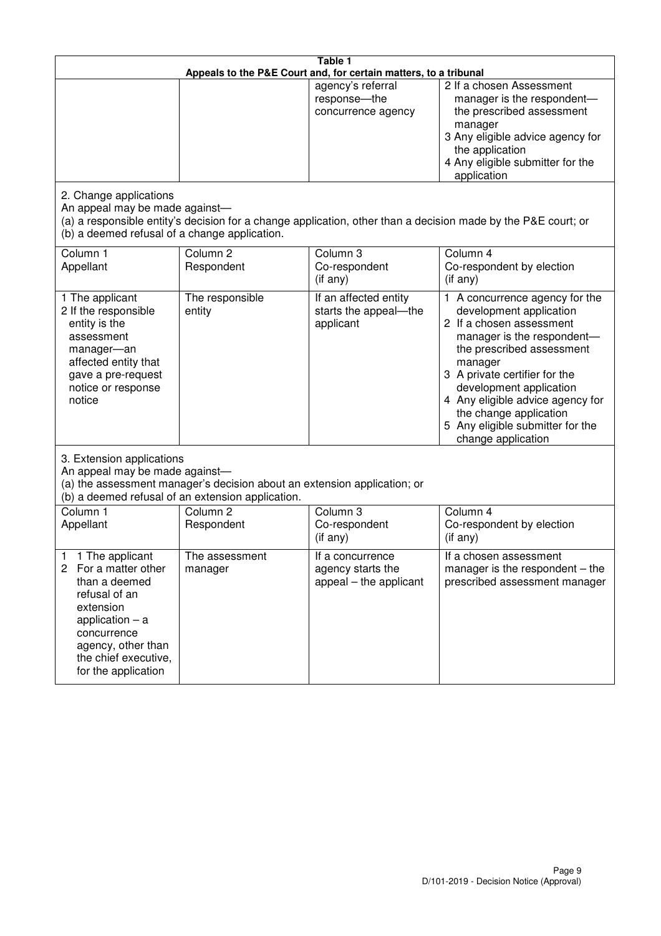| Table 1<br>Appeals to the P&E Court and, for certain matters, to a tribunal                                                                                                                             |                                                                                                                               |                                                                 |                                                                                                                                                                                                                                                                                                                                                 |  |
|---------------------------------------------------------------------------------------------------------------------------------------------------------------------------------------------------------|-------------------------------------------------------------------------------------------------------------------------------|-----------------------------------------------------------------|-------------------------------------------------------------------------------------------------------------------------------------------------------------------------------------------------------------------------------------------------------------------------------------------------------------------------------------------------|--|
|                                                                                                                                                                                                         |                                                                                                                               | agency's referral<br>response-the<br>concurrence agency         | 2 If a chosen Assessment<br>manager is the respondent-<br>the prescribed assessment<br>manager<br>3 Any eligible advice agency for<br>the application<br>4 Any eligible submitter for the<br>application                                                                                                                                        |  |
| 2. Change applications<br>An appeal may be made against-<br>(b) a deemed refusal of a change application.                                                                                               |                                                                                                                               |                                                                 | (a) a responsible entity's decision for a change application, other than a decision made by the P&E court; or                                                                                                                                                                                                                                   |  |
| Column 1<br>Appellant                                                                                                                                                                                   | Column <sub>2</sub><br>Respondent                                                                                             | Column 3<br>Co-respondent<br>$($ if any $)$                     | Column 4<br>Co-respondent by election<br>$(if$ any)                                                                                                                                                                                                                                                                                             |  |
| 1 The applicant<br>2 If the responsible<br>entity is the<br>assessment<br>manager-an<br>affected entity that<br>gave a pre-request<br>notice or response<br>notice                                      | The responsible<br>entity                                                                                                     | If an affected entity<br>starts the appeal-the<br>applicant     | 1 A concurrence agency for the<br>development application<br>2 If a chosen assessment<br>manager is the respondent-<br>the prescribed assessment<br>manager<br>3 A private certifier for the<br>development application<br>4 Any eligible advice agency for<br>the change application<br>5 Any eligible submitter for the<br>change application |  |
| 3. Extension applications<br>An appeal may be made against-                                                                                                                                             | (a) the assessment manager's decision about an extension application; or<br>(b) a deemed refusal of an extension application. |                                                                 |                                                                                                                                                                                                                                                                                                                                                 |  |
| Column 1<br>Appellant                                                                                                                                                                                   | Column <sub>2</sub><br>Respondent                                                                                             | Column 3<br>Co-respondent<br>(if any)                           | Column $\overline{4}$<br>Co-respondent by election<br>(if any)                                                                                                                                                                                                                                                                                  |  |
| 1 The applicant<br>1<br>2<br>For a matter other<br>than a deemed<br>refusal of an<br>extension<br>application $-$ a<br>concurrence<br>agency, other than<br>the chief executive,<br>for the application | The assessment<br>manager                                                                                                     | If a concurrence<br>agency starts the<br>appeal – the applicant | If a chosen assessment<br>manager is the respondent $-$ the<br>prescribed assessment manager                                                                                                                                                                                                                                                    |  |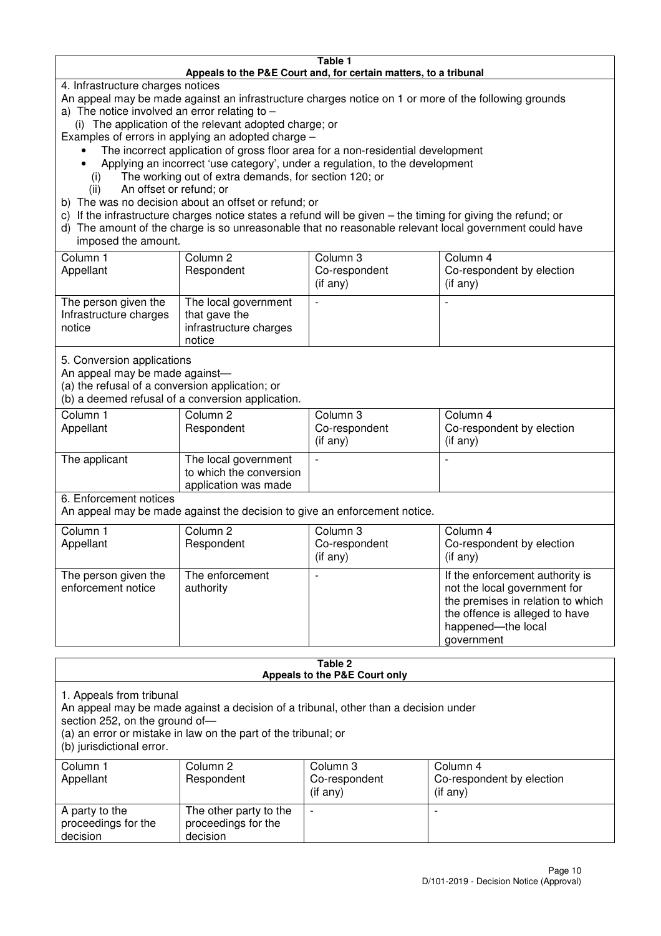#### **Table 1 Appeals to the P&E Court and, for certain matters, to a tribunal**

4. Infrastructure charges notices

- An appeal may be made against an infrastructure charges notice on 1 or more of the following grounds
- a) The notice involved an error relating to
	- (i) The application of the relevant adopted charge; or
- Examples of errors in applying an adopted charge
	- The incorrect application of gross floor area for a non-residential development
	- Applying an incorrect 'use category', under a regulation, to the development
	- (i) The working out of extra demands, for section 120; or
	- (ii) An offset or refund; or
- b) The was no decision about an offset or refund; or
- c) If the infrastructure charges notice states a refund will be given the timing for giving the refund; or
- d) The amount of the charge is so unreasonable that no reasonable relevant local government could have

### imposed the amount.

| Column 1<br>Appellant                                    | Column 2<br>Respondent                                                    | Column 3<br>Co-respondent<br>(if any) | Column 4<br>Co-respondent by election<br>$($ if any $)$ |
|----------------------------------------------------------|---------------------------------------------------------------------------|---------------------------------------|---------------------------------------------------------|
| The person given the<br>Infrastructure charges<br>notice | The local government<br>that gave the<br>infrastructure charges<br>notice |                                       |                                                         |

5. Conversion applications

An appeal may be made against—

(a) the refusal of a conversion application; or

(b) a deemed refusal of a conversion application.

| Column 1<br>Appellant | Column 2<br>Respondent                                                  | Column 3<br>Co-respondent<br>$($ if any $)$ | Column 4<br>Co-respondent by election<br>$($ if any $)$ |
|-----------------------|-------------------------------------------------------------------------|---------------------------------------------|---------------------------------------------------------|
| The applicant         | The local government<br>to which the conversion<br>application was made |                                             |                                                         |

6. Enforcement notices

An appeal may be made against the decision to give an enforcement notice.

| Column 1                                   | Column 2                     | Column 3       | Column 4                                                                                                                                                                   |
|--------------------------------------------|------------------------------|----------------|----------------------------------------------------------------------------------------------------------------------------------------------------------------------------|
| Appellant                                  | Respondent                   | Co-respondent  | Co-respondent by election                                                                                                                                                  |
|                                            |                              | $($ if any $)$ | $(if$ any)                                                                                                                                                                 |
| The person given the<br>enforcement notice | The enforcement<br>authority |                | If the enforcement authority is<br>not the local government for<br>the premises in relation to which<br>the offence is alleged to have<br>happened-the local<br>government |

#### **Table 2 Appeals to the P&E Court only**

1. Appeals from tribunal

An appeal may be made against a decision of a tribunal, other than a decision under

section 252, on the ground of-

(a) an error or mistake in law on the part of the tribunal; or

(b) jurisdictional error.

| Column 1<br>Appellant                             | Column 2<br>Respondent                                    | Column 3<br>Co-respondent<br>$($ if any $)$ | Column 4<br>Co-respondent by election<br>(i f any) |
|---------------------------------------------------|-----------------------------------------------------------|---------------------------------------------|----------------------------------------------------|
| A party to the<br>proceedings for the<br>decision | The other party to the<br>proceedings for the<br>decision | $\overline{\phantom{0}}$                    |                                                    |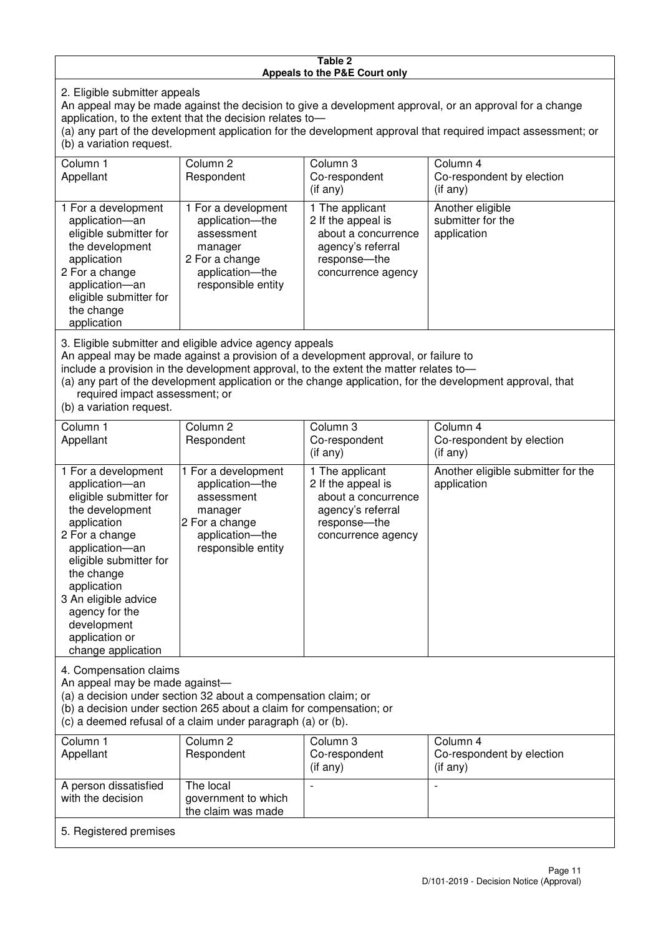#### **Table 2 Appeals to the P&E Court only**

2. Eligible submitter appeals

An appeal may be made against the decision to give a development approval, or an approval for a change application, to the extent that the decision relates to—

(a) any part of the development application for the development approval that required impact assessment; or (b) a variation request.

| Column 1                                                                                                                                                                                                                                                                                                                                             | Column <sub>2</sub>                                                                                                        | Column 3                                                                                                                  | Column 4                                             |
|------------------------------------------------------------------------------------------------------------------------------------------------------------------------------------------------------------------------------------------------------------------------------------------------------------------------------------------------------|----------------------------------------------------------------------------------------------------------------------------|---------------------------------------------------------------------------------------------------------------------------|------------------------------------------------------|
| Appellant                                                                                                                                                                                                                                                                                                                                            | Respondent                                                                                                                 | Co-respondent                                                                                                             | Co-respondent by election                            |
|                                                                                                                                                                                                                                                                                                                                                      |                                                                                                                            | $($ if any $)$                                                                                                            | (i f any)                                            |
| 1 For a development<br>application-an<br>eligible submitter for<br>the development<br>application<br>2 For a change<br>application-an<br>eligible submitter for<br>the change<br>application                                                                                                                                                         | 1 For a development<br>application-the<br>assessment<br>manager<br>2 For a change<br>application-the<br>responsible entity | 1 The applicant<br>2 If the appeal is<br>about a concurrence<br>agency's referral<br>response---the<br>concurrence agency | Another eligible<br>submitter for the<br>application |
| 3. Eligible submitter and eligible advice agency appeals<br>An appeal may be made against a provision of a development approval, or failure to<br>include a provision in the development approval, to the extent the matter relates to-<br>(a) any part of the development application or the change application, for the development approval, that |                                                                                                                            |                                                                                                                           |                                                      |

required impact assessment; or

(b) a variation request.

5. Registered premises

| Column 1<br>Appellant                                                                                                                                                                                                                                                                         | Column 2<br>Respondent                                                                                                     | Column 3<br>Co-respondent                                                                                                 | Column 4<br>Co-respondent by election                |
|-----------------------------------------------------------------------------------------------------------------------------------------------------------------------------------------------------------------------------------------------------------------------------------------------|----------------------------------------------------------------------------------------------------------------------------|---------------------------------------------------------------------------------------------------------------------------|------------------------------------------------------|
|                                                                                                                                                                                                                                                                                               |                                                                                                                            | $($ if any $)$                                                                                                            | (if any)                                             |
| 1 For a development<br>application-an<br>eligible submitter for<br>the development<br>application<br>2 For a change<br>application-an<br>eligible submitter for<br>the change<br>application<br>3 An eligible advice<br>agency for the<br>development<br>application or<br>change application | 1 For a development<br>application-the<br>assessment<br>manager<br>2 For a change<br>application-the<br>responsible entity | 1 The applicant<br>2 If the appeal is<br>about a concurrence<br>agency's referral<br>response---the<br>concurrence agency | Another eligible submitter for the<br>application    |
| 4. Compensation claims<br>An appeal may be made against-<br>(a) a decision under section 32 about a compensation claim; or<br>(b) a decision under section 265 about a claim for compensation; or<br>(c) a deemed refusal of a claim under paragraph (a) or (b).                              |                                                                                                                            |                                                                                                                           |                                                      |
| Column <sub>1</sub><br>Appellant                                                                                                                                                                                                                                                              | Column <sub>2</sub><br>Respondent                                                                                          | Column 3<br>Co-respondent<br>(if any)                                                                                     | Column 4<br>Co-respondent by election<br>$(i$ f any) |
| A person dissatisfied<br>with the decision                                                                                                                                                                                                                                                    | The local<br>government to which                                                                                           |                                                                                                                           |                                                      |

government to which the claim was made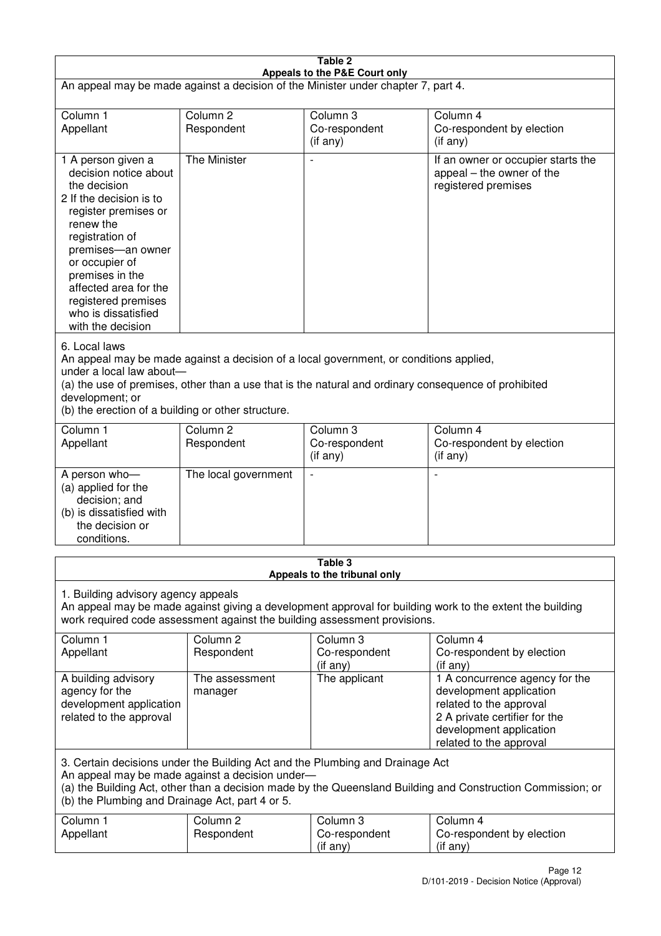| Table 2<br>Appeals to the P&E Court only                                                                                                                                                                                                                                                                             |                                   |                                                  |                                                                                                                                                                             |  |
|----------------------------------------------------------------------------------------------------------------------------------------------------------------------------------------------------------------------------------------------------------------------------------------------------------------------|-----------------------------------|--------------------------------------------------|-----------------------------------------------------------------------------------------------------------------------------------------------------------------------------|--|
| An appeal may be made against a decision of the Minister under chapter 7, part 4.                                                                                                                                                                                                                                    |                                   |                                                  |                                                                                                                                                                             |  |
| Column 1<br>Appellant                                                                                                                                                                                                                                                                                                | Column <sub>2</sub><br>Respondent | Column 3<br>Co-respondent<br>(if any)            | Column 4<br>Co-respondent by election<br>(if any)                                                                                                                           |  |
| 1 A person given a<br>decision notice about<br>the decision<br>2 If the decision is to<br>register premises or<br>renew the<br>registration of<br>premises-an owner<br>or occupier of<br>premises in the<br>affected area for the<br>registered premises<br>who is dissatisfied<br>with the decision                 | The Minister                      | $\blacksquare$                                   | If an owner or occupier starts the<br>appeal – the owner of the<br>registered premises                                                                                      |  |
| 6. Local laws<br>An appeal may be made against a decision of a local government, or conditions applied,<br>under a local law about-<br>(a) the use of premises, other than a use that is the natural and ordinary consequence of prohibited<br>development; or<br>(b) the erection of a building or other structure. |                                   |                                                  |                                                                                                                                                                             |  |
| Column 1<br>Appellant                                                                                                                                                                                                                                                                                                | Column <sub>2</sub><br>Respondent | Column 3<br>Co-respondent<br>(if any)            | Column 4<br>Co-respondent by election<br>(if any)                                                                                                                           |  |
| A person who-<br>(a) applied for the<br>decision; and<br>(b) is dissatisfied with<br>the decision or<br>conditions.                                                                                                                                                                                                  | The local government              |                                                  |                                                                                                                                                                             |  |
|                                                                                                                                                                                                                                                                                                                      |                                   | Table 3<br>Appeals to the tribunal only          |                                                                                                                                                                             |  |
| 1. Building advisory agency appeals<br>An appeal may be made against giving a development approval for building work to the extent the building<br>work required code assessment against the building assessment provisions.                                                                                         |                                   |                                                  |                                                                                                                                                                             |  |
| Column 1<br>Appellant                                                                                                                                                                                                                                                                                                | Column <sub>2</sub><br>Respondent | Column <sub>3</sub><br>Co-respondent<br>(if any) | Column 4<br>Co-respondent by election<br>(if any)                                                                                                                           |  |
| A building advisory<br>agency for the<br>development application<br>related to the approval                                                                                                                                                                                                                          | The assessment<br>manager         | The applicant                                    | 1 A concurrence agency for the<br>development application<br>related to the approval<br>2 A private certifier for the<br>development application<br>related to the approval |  |
| 3. Certain decisions under the Building Act and the Plumbing and Drainage Act<br>An appeal may be made against a decision under-<br>(a) the Building Act, other than a decision made by the Queensland Building and Construction Commission; or<br>(b) the Plumbing and Drainage Act, part 4 or 5.                   |                                   |                                                  |                                                                                                                                                                             |  |
| Column 1<br>Appellant                                                                                                                                                                                                                                                                                                | Column <sub>2</sub><br>Respondent | Column 3<br>Co-respondent<br>(if any)            | Column 4<br>Co-respondent by election<br>(if any)                                                                                                                           |  |